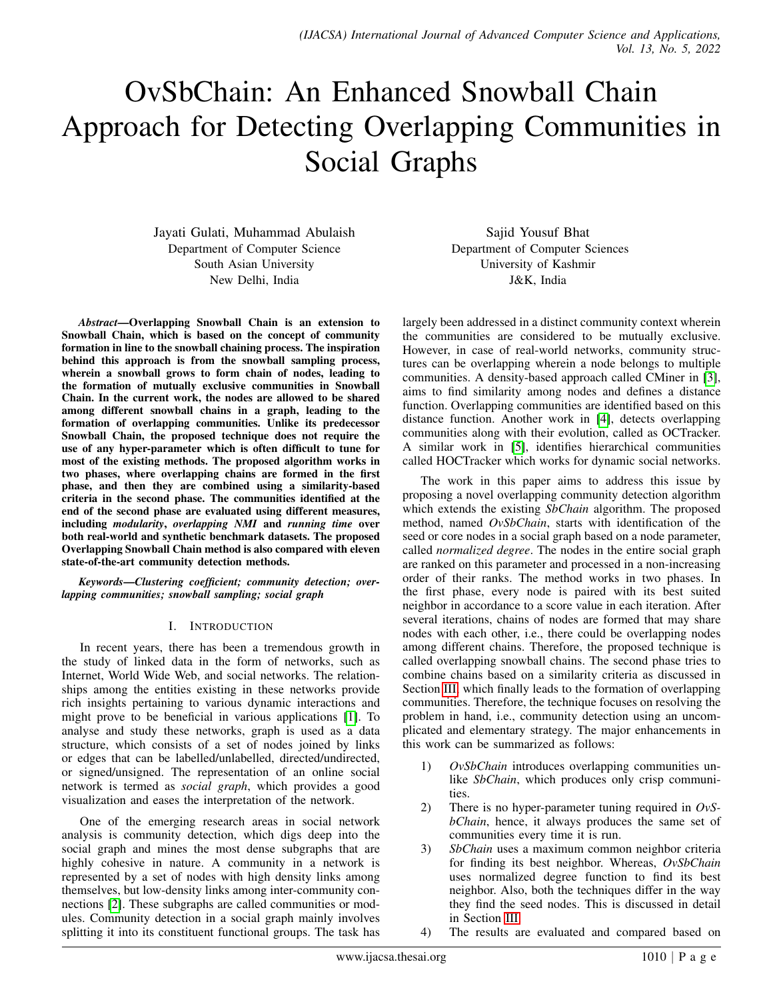# <span id="page-0-0"></span>OvSbChain: An Enhanced Snowball Chain Approach for Detecting Overlapping Communities in Social Graphs

Jayati Gulati, Muhammad Abulaish Department of Computer Science South Asian University New Delhi, India

*Abstract*—Overlapping Snowball Chain is an extension to Snowball Chain, which is based on the concept of community formation in line to the snowball chaining process. The inspiration behind this approach is from the snowball sampling process, wherein a snowball grows to form chain of nodes, leading to the formation of mutually exclusive communities in Snowball Chain. In the current work, the nodes are allowed to be shared among different snowball chains in a graph, leading to the formation of overlapping communities. Unlike its predecessor Snowball Chain, the proposed technique does not require the use of any hyper-parameter which is often difficult to tune for most of the existing methods. The proposed algorithm works in two phases, where overlapping chains are formed in the first phase, and then they are combined using a similarity-based criteria in the second phase. The communities identified at the end of the second phase are evaluated using different measures, including *modularity*, *overlapping NMI* and *running time* over both real-world and synthetic benchmark datasets. The proposed Overlapping Snowball Chain method is also compared with eleven state-of-the-art community detection methods.

*Keywords*—*Clustering coefficient; community detection; overlapping communities; snowball sampling; social graph*

# I. INTRODUCTION

In recent years, there has been a tremendous growth in the study of linked data in the form of networks, such as Internet, World Wide Web, and social networks. The relationships among the entities existing in these networks provide rich insights pertaining to various dynamic interactions and might prove to be beneficial in various applications [\[1\]](#page-9-0). To analyse and study these networks, graph is used as a data structure, which consists of a set of nodes joined by links or edges that can be labelled/unlabelled, directed/undirected, or signed/unsigned. The representation of an online social network is termed as *social graph*, which provides a good visualization and eases the interpretation of the network.

One of the emerging research areas in social network analysis is community detection, which digs deep into the social graph and mines the most dense subgraphs that are highly cohesive in nature. A community in a network is represented by a set of nodes with high density links among themselves, but low-density links among inter-community connections [\[2\]](#page-9-1). These subgraphs are called communities or modules. Community detection in a social graph mainly involves splitting it into its constituent functional groups. The task has

Sajid Yousuf Bhat Department of Computer Sciences University of Kashmir J&K, India

largely been addressed in a distinct community context wherein the communities are considered to be mutually exclusive. However, in case of real-world networks, community structures can be overlapping wherein a node belongs to multiple communities. A density-based approach called CMiner in [\[3\]](#page-9-2), aims to find similarity among nodes and defines a distance function. Overlapping communities are identified based on this distance function. Another work in [\[4\]](#page-9-3), detects overlapping communities along with their evolution, called as OCTracker. A similar work in [\[5\]](#page-9-4), identifies hierarchical communities called HOCTracker which works for dynamic social networks.

The work in this paper aims to address this issue by proposing a novel overlapping community detection algorithm which extends the existing *SbChain* algorithm. The proposed method, named *OvSbChain*, starts with identification of the seed or core nodes in a social graph based on a node parameter, called *normalized degree*. The nodes in the entire social graph are ranked on this parameter and processed in a non-increasing order of their ranks. The method works in two phases. In the first phase, every node is paired with its best suited neighbor in accordance to a score value in each iteration. After several iterations, chains of nodes are formed that may share nodes with each other, i.e., there could be overlapping nodes among different chains. Therefore, the proposed technique is called overlapping snowball chains. The second phase tries to combine chains based on a similarity criteria as discussed in Section [III,](#page-2-0) which finally leads to the formation of overlapping communities. Therefore, the technique focuses on resolving the problem in hand, i.e., community detection using an uncomplicated and elementary strategy. The major enhancements in this work can be summarized as follows:

- 1) *OvSbChain* introduces overlapping communities unlike *SbChain*, which produces only crisp communities.
- 2) There is no hyper-parameter tuning required in *OvSbChain*, hence, it always produces the same set of communities every time it is run.
- 3) *SbChain* uses a maximum common neighbor criteria for finding its best neighbor. Whereas, *OvSbChain* uses normalized degree function to find its best neighbor. Also, both the techniques differ in the way they find the seed nodes. This is discussed in detail in Section [III.](#page-2-0)
- 4) The results are evaluated and compared based on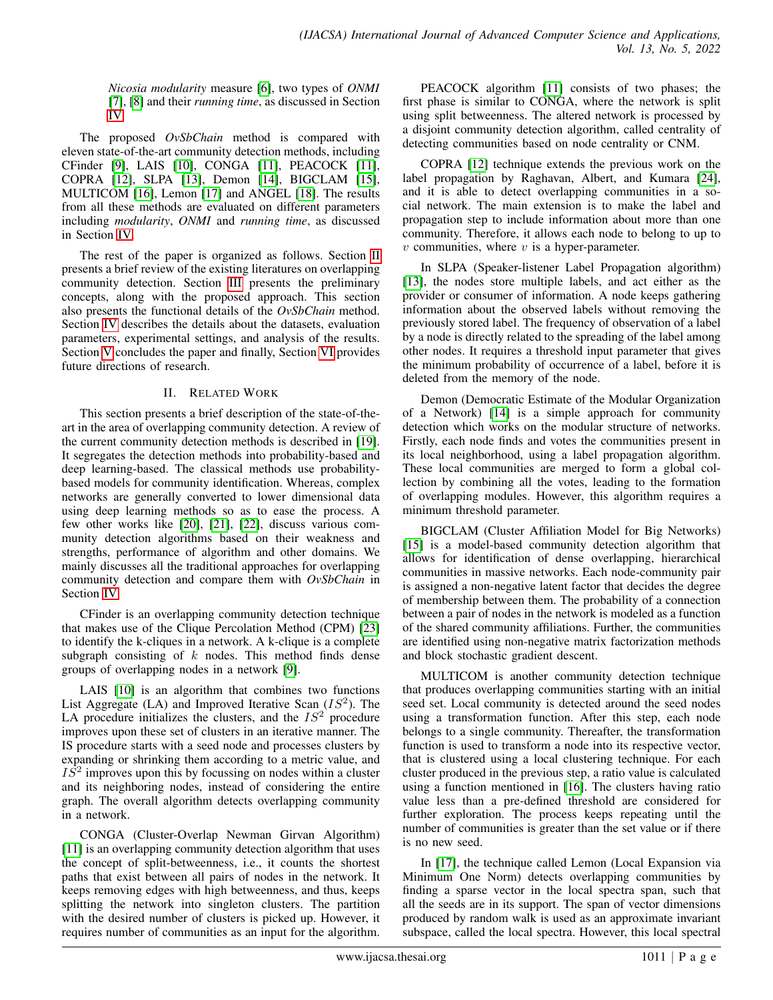*Nicosia modularity* measure [\[6\]](#page-9-5), two types of *ONMI* [\[7\]](#page-9-6), [\[8\]](#page-9-7) and their *running time*, as discussed in Section [IV.](#page-3-0)

The proposed *OvSbChain* method is compared with eleven state-of-the-art community detection methods, including CFinder [\[9\]](#page-9-8), LAIS [\[10\]](#page-9-9), CONGA [\[11\]](#page-9-10), PEACOCK [\[11\]](#page-9-10), COPRA [\[12\]](#page-9-11), SLPA [\[13\]](#page-9-12), Demon [\[14\]](#page-9-13), BIGCLAM [\[15\]](#page-9-14), MULTICOM [\[16\]](#page-9-15), Lemon [\[17\]](#page-9-16) and ANGEL [\[18\]](#page-9-17). The results from all these methods are evaluated on different parameters including *modularity*, *ONMI* and *running time*, as discussed in Section [IV.](#page-3-0)

The rest of the paper is organized as follows. Section [II](#page-1-0) presents a brief review of the existing literatures on overlapping community detection. Section [III](#page-2-0) presents the preliminary concepts, along with the proposed approach. This section also presents the functional details of the *OvSbChain* method. Section [IV](#page-3-0) describes the details about the datasets, evaluation parameters, experimental settings, and analysis of the results. Section [V](#page-5-0) concludes the paper and finally, Section [VI](#page-6-0) provides future directions of research.

# II. RELATED WORK

<span id="page-1-0"></span>This section presents a brief description of the state-of-theart in the area of overlapping community detection. A review of the current community detection methods is described in [\[19\]](#page-9-18). It segregates the detection methods into probability-based and deep learning-based. The classical methods use probabilitybased models for community identification. Whereas, complex networks are generally converted to lower dimensional data using deep learning methods so as to ease the process. A few other works like [\[20\]](#page-9-19), [\[21\]](#page-9-20), [\[22\]](#page-9-21), discuss various community detection algorithms based on their weakness and strengths, performance of algorithm and other domains. We mainly discusses all the traditional approaches for overlapping community detection and compare them with *OvSbChain* in Section [IV.](#page-3-0)

CFinder is an overlapping community detection technique that makes use of the Clique Percolation Method (CPM) [\[23\]](#page-9-22) to identify the k-cliques in a network. A k-clique is a complete subgraph consisting of  $k$  nodes. This method finds dense groups of overlapping nodes in a network [\[9\]](#page-9-8).

LAIS [\[10\]](#page-9-9) is an algorithm that combines two functions List Aggregate (LA) and Improved Iterative Scan  $(IS^2)$ . The LA procedure initializes the clusters, and the  $IS<sup>2</sup>$  procedure improves upon these set of clusters in an iterative manner. The IS procedure starts with a seed node and processes clusters by expanding or shrinking them according to a metric value, and  $I\bar{S}^2$  improves upon this by focussing on nodes within a cluster and its neighboring nodes, instead of considering the entire graph. The overall algorithm detects overlapping community in a network.

CONGA (Cluster-Overlap Newman Girvan Algorithm) [\[11\]](#page-9-10) is an overlapping community detection algorithm that uses the concept of split-betweenness, i.e., it counts the shortest paths that exist between all pairs of nodes in the network. It keeps removing edges with high betweenness, and thus, keeps splitting the network into singleton clusters. The partition with the desired number of clusters is picked up. However, it requires number of communities as an input for the algorithm.

PEACOCK algorithm [\[11\]](#page-9-10) consists of two phases; the first phase is similar to CONGA, where the network is split using split betweenness. The altered network is processed by a disjoint community detection algorithm, called centrality of detecting communities based on node centrality or CNM.

COPRA [\[12\]](#page-9-11) technique extends the previous work on the label propagation by Raghavan, Albert, and Kumara [\[24\]](#page-9-23), and it is able to detect overlapping communities in a social network. The main extension is to make the label and propagation step to include information about more than one community. Therefore, it allows each node to belong to up to  $v$  communities, where  $v$  is a hyper-parameter.

In SLPA (Speaker-listener Label Propagation algorithm) [\[13\]](#page-9-12), the nodes store multiple labels, and act either as the provider or consumer of information. A node keeps gathering information about the observed labels without removing the previously stored label. The frequency of observation of a label by a node is directly related to the spreading of the label among other nodes. It requires a threshold input parameter that gives the minimum probability of occurrence of a label, before it is deleted from the memory of the node.

Demon (Democratic Estimate of the Modular Organization of a Network) [\[14\]](#page-9-13) is a simple approach for community detection which works on the modular structure of networks. Firstly, each node finds and votes the communities present in its local neighborhood, using a label propagation algorithm. These local communities are merged to form a global collection by combining all the votes, leading to the formation of overlapping modules. However, this algorithm requires a minimum threshold parameter.

BIGCLAM (Cluster Affiliation Model for Big Networks) [\[15\]](#page-9-14) is a model-based community detection algorithm that allows for identification of dense overlapping, hierarchical communities in massive networks. Each node-community pair is assigned a non-negative latent factor that decides the degree of membership between them. The probability of a connection between a pair of nodes in the network is modeled as a function of the shared community affiliations. Further, the communities are identified using non-negative matrix factorization methods and block stochastic gradient descent.

MULTICOM is another community detection technique that produces overlapping communities starting with an initial seed set. Local community is detected around the seed nodes using a transformation function. After this step, each node belongs to a single community. Thereafter, the transformation function is used to transform a node into its respective vector, that is clustered using a local clustering technique. For each cluster produced in the previous step, a ratio value is calculated using a function mentioned in [\[16\]](#page-9-15). The clusters having ratio value less than a pre-defined threshold are considered for further exploration. The process keeps repeating until the number of communities is greater than the set value or if there is no new seed.

In [\[17\]](#page-9-16), the technique called Lemon (Local Expansion via Minimum One Norm) detects overlapping communities by finding a sparse vector in the local spectra span, such that all the seeds are in its support. The span of vector dimensions produced by random walk is used as an approximate invariant subspace, called the local spectra. However, this local spectral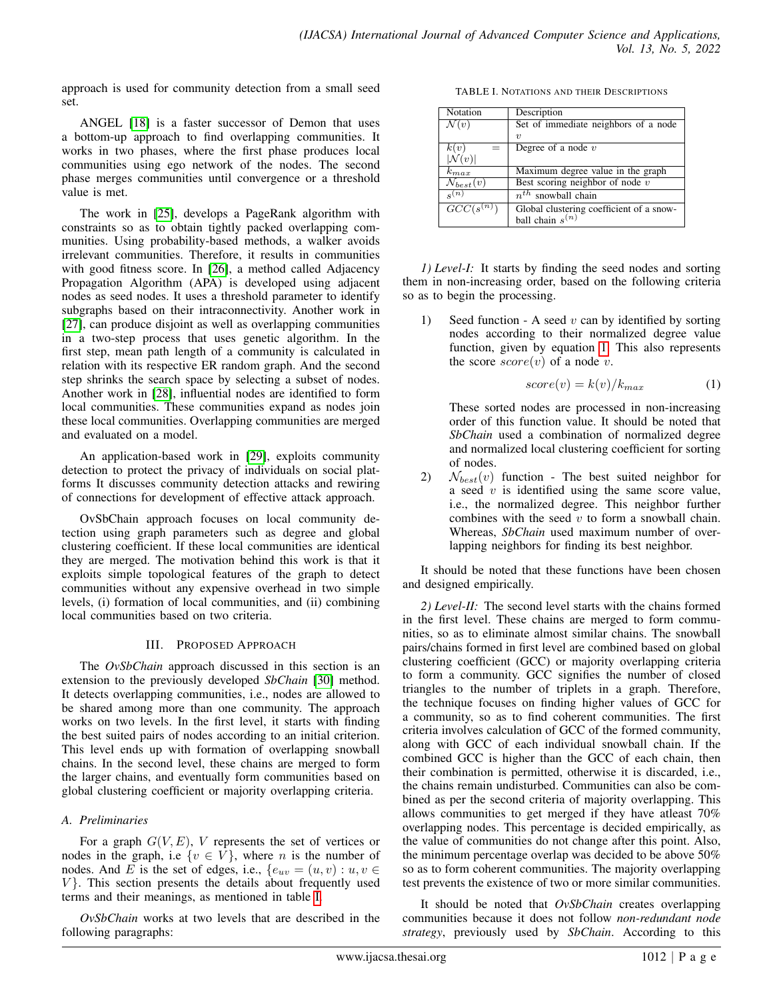approach is used for community detection from a small seed set.

ANGEL [\[18\]](#page-9-17) is a faster successor of Demon that uses a bottom-up approach to find overlapping communities. It works in two phases, where the first phase produces local communities using ego network of the nodes. The second phase merges communities until convergence or a threshold value is met.

The work in [\[25\]](#page-9-24), develops a PageRank algorithm with constraints so as to obtain tightly packed overlapping communities. Using probability-based methods, a walker avoids irrelevant communities. Therefore, it results in communities with good fitness score. In [\[26\]](#page-9-25), a method called Adjacency Propagation Algorithm (APA) is developed using adjacent nodes as seed nodes. It uses a threshold parameter to identify subgraphs based on their intraconnectivity. Another work in [\[27\]](#page-9-26), can produce disjoint as well as overlapping communities in a two-step process that uses genetic algorithm. In the first step, mean path length of a community is calculated in relation with its respective ER random graph. And the second step shrinks the search space by selecting a subset of nodes. Another work in [\[28\]](#page-9-27), influential nodes are identified to form local communities. These communities expand as nodes join these local communities. Overlapping communities are merged and evaluated on a model.

An application-based work in [\[29\]](#page-9-28), exploits community detection to protect the privacy of individuals on social platforms It discusses community detection attacks and rewiring of connections for development of effective attack approach.

OvSbChain approach focuses on local community detection using graph parameters such as degree and global clustering coefficient. If these local communities are identical they are merged. The motivation behind this work is that it exploits simple topological features of the graph to detect communities without any expensive overhead in two simple levels, (i) formation of local communities, and (ii) combining local communities based on two criteria.

#### III. PROPOSED APPROACH

<span id="page-2-0"></span>The *OvSbChain* approach discussed in this section is an extension to the previously developed *SbChain* [\[30\]](#page-9-29) method. It detects overlapping communities, i.e., nodes are allowed to be shared among more than one community. The approach works on two levels. In the first level, it starts with finding the best suited pairs of nodes according to an initial criterion. This level ends up with formation of overlapping snowball chains. In the second level, these chains are merged to form the larger chains, and eventually form communities based on global clustering coefficient or majority overlapping criteria.

# *A. Preliminaries*

For a graph  $G(V, E)$ , V represents the set of vertices or nodes in the graph, i.e  $\{v \in V\}$ , where *n* is the number of nodes. And E is the set of edges, i.e.,  $\{e_{uv} = (u, v) : u, v \in$  $V$ . This section presents the details about frequently used terms and their meanings, as mentioned in table [I.](#page-2-1)

*OvSbChain* works at two levels that are described in the following paragraphs:

TABLE I. NOTATIONS AND THEIR DESCRIPTIONS

<span id="page-2-1"></span>

| Notation           | Description                              |
|--------------------|------------------------------------------|
| $\mathcal{N}(v)$   | Set of immediate neighbors of a node     |
|                    | $\eta$                                   |
| k(v)               | Degree of a node $v$                     |
| $ \mathcal{N}(v) $ |                                          |
| $k_{max}$          | Maximum degree value in the graph        |
| $N_{best}(v)$      | Best scoring neighbor of node $v$        |
| $s^{(n)}$          | $n^{th}$ snowball chain                  |
| $GCC(s^{(n)})$     | Global clustering coefficient of a snow- |
|                    | ball chain $s^{(n)}$                     |

*1) Level-I:* It starts by finding the seed nodes and sorting them in non-increasing order, based on the following criteria so as to begin the processing.

1) Seed function - A seed  $v$  can by identified by sorting nodes according to their normalized degree value function, given by equation [1.](#page-2-2) This also represents the score  $score(v)$  of a node v.

<span id="page-2-2"></span>
$$
score(v) = k(v)/k_{max} \tag{1}
$$

These sorted nodes are processed in non-increasing order of this function value. It should be noted that *SbChain* used a combination of normalized degree and normalized local clustering coefficient for sorting of nodes.

2)  $\mathcal{N}_{best}(v)$  function - The best suited neighbor for a seed  $v$  is identified using the same score value, i.e., the normalized degree. This neighbor further combines with the seed  $v$  to form a snowball chain. Whereas, *SbChain* used maximum number of overlapping neighbors for finding its best neighbor.

It should be noted that these functions have been chosen and designed empirically.

*2) Level-II:* The second level starts with the chains formed in the first level. These chains are merged to form communities, so as to eliminate almost similar chains. The snowball pairs/chains formed in first level are combined based on global clustering coefficient (GCC) or majority overlapping criteria to form a community. GCC signifies the number of closed triangles to the number of triplets in a graph. Therefore, the technique focuses on finding higher values of GCC for a community, so as to find coherent communities. The first criteria involves calculation of GCC of the formed community, along with GCC of each individual snowball chain. If the combined GCC is higher than the GCC of each chain, then their combination is permitted, otherwise it is discarded, i.e., the chains remain undisturbed. Communities can also be combined as per the second criteria of majority overlapping. This allows communities to get merged if they have atleast 70% overlapping nodes. This percentage is decided empirically, as the value of communities do not change after this point. Also, the minimum percentage overlap was decided to be above 50% so as to form coherent communities. The majority overlapping test prevents the existence of two or more similar communities.

It should be noted that *OvSbChain* creates overlapping communities because it does not follow *non-redundant node strategy*, previously used by *SbChain*. According to this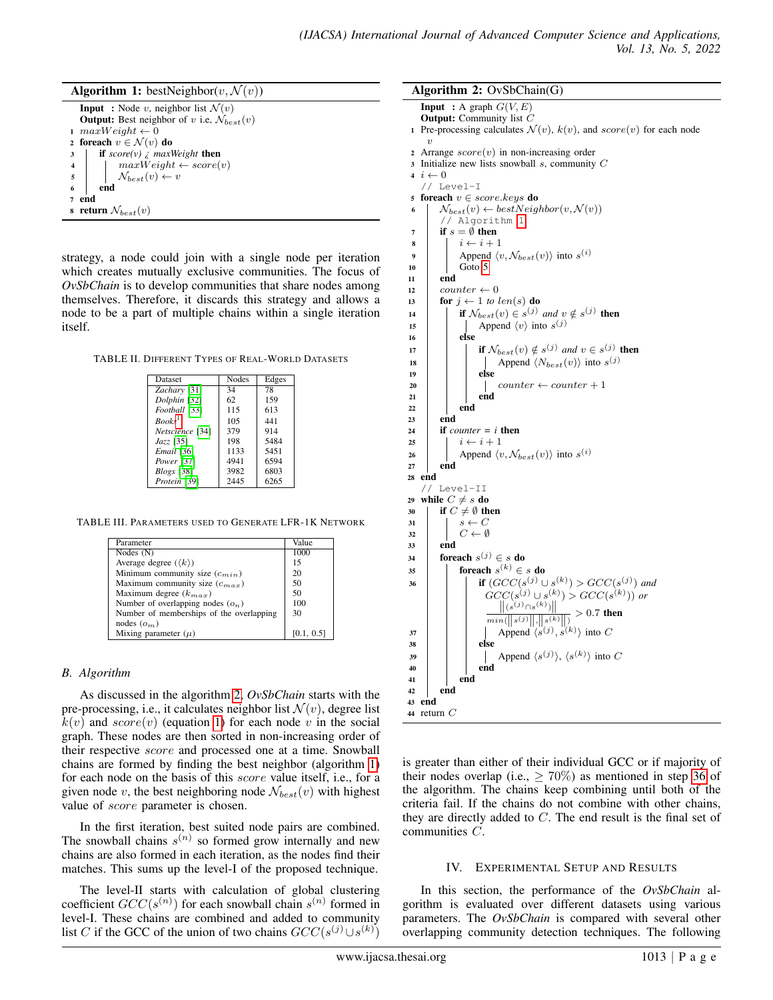<span id="page-3-2"></span>

| <b>Algorithm 1:</b> bestNeighbor( $v, \mathcal{N}(v)$ )                                                                                                                                                                                                                                        |
|------------------------------------------------------------------------------------------------------------------------------------------------------------------------------------------------------------------------------------------------------------------------------------------------|
| <b>Input</b> : Node v, neighbor list $\mathcal{N}(v)$                                                                                                                                                                                                                                          |
| <b>Output:</b> Best neighbor of v i.e, $\mathcal{N}_{best}(v)$                                                                                                                                                                                                                                 |
| 1 $maxWeight \leftarrow 0$                                                                                                                                                                                                                                                                     |
| 2 foreach $v \in \mathcal{N}(v)$ do                                                                                                                                                                                                                                                            |
| if $score(v)$ i maxWeight then<br>$\begin{tabular}{c c} \textbf{3} & \textbf{if } score(v) \textit{ } & \textit{maxWeight} \textbf{ then} \\ \textbf{4} & \textit{maxWeight} \leftarrow score(v) \\ \textbf{5} & \textit{N}_{best}(v) \leftarrow v \\ \textbf{6} & \textbf{end} \end{tabular}$ |
|                                                                                                                                                                                                                                                                                                |
|                                                                                                                                                                                                                                                                                                |
|                                                                                                                                                                                                                                                                                                |
| end                                                                                                                                                                                                                                                                                            |
| s return $\mathcal{N}_{best}(v)$                                                                                                                                                                                                                                                               |

strategy, a node could join with a single node per iteration which creates mutually exclusive communities. The focus of *OvSbChain* is to develop communities that share nodes among themselves. Therefore, it discards this strategy and allows a node to be a part of multiple chains within a single iteration itself.

<span id="page-3-5"></span>TABLE II. DIFFERENT TYPES OF REAL-WORLD DATASETS

| Dataset                  | <b>Nodes</b> | Edges |
|--------------------------|--------------|-------|
| Zachary [31]             | 34           | 78    |
| Dolphin [32]             | 62           | 159   |
| Football <sup>[33]</sup> | 115          | 613   |
| Books <sup>1</sup>       | 105          | 441   |
| Netscience [34]          | 379          | 914   |
| Jazz [35]                | 198          | 5484  |
| Email [36]               | 1133         | 5451  |
| Power <sup>[37]</sup>    | 4941         | 6594  |
| $Blogs$ [38]             | 3982         | 6803  |
| Protein [39]             | 2445         | 6265  |

<span id="page-3-6"></span>TABLE III. PARAMETERS USED TO GENERATE LFR-1K NETWORK

| Value      |
|------------|
| 1000       |
| 15         |
| 20         |
| 50         |
| 50         |
| 100        |
| 30         |
|            |
| [0.1, 0.5] |
|            |

# *B. Algorithm*

As discussed in the algorithm [2,](#page-3-1) *OvSbChain* starts with the pre-processing, i.e., it calculates neighbor list  $\mathcal{N}(v)$ , degree list  $k(v)$  and  $score(v)$  (equation [1\)](#page-2-2) for each node v in the social graph. These nodes are then sorted in non-increasing order of their respective score and processed one at a time. Snowball chains are formed by finding the best neighbor (algorithm [1\)](#page-3-2) for each node on the basis of this score value itself, i.e., for a given node v, the best neighboring node  $N_{best}(v)$  with highest value of *score* parameter is chosen.

In the first iteration, best suited node pairs are combined. The snowball chains  $s^{(n)}$  so formed grow internally and new chains are also formed in each iteration, as the nodes find their matches. This sums up the level-I of the proposed technique.

The level-II starts with calculation of global clustering coefficient  $GCC(s^{(n)})$  for each snowball chain  $s^{(n)}$  formed in level-I. These chains are combined and added to community list C if the GCC of the union of two chains  $GCC(s^{(j)} \cup s^{(k)})$ 

#### Algorithm 2: OvSbChain(G)

```
Input : A graph G(V, E)Output: Community list C1 Pre-processing calculates \mathcal{N}(v), k(v), and score(v) for each node
     \overline{v}2 Arrange score(v) in non-increasing order
3 Initialize new lists snowball s, community C
 i \leftarrow 0// Level-I
5 foreach v \in score(keys do
 6 | \mathcal{N}_{best}(v) \leftarrow bestNeighbour(v, \mathcal{N}(v))// Algorithm 1
 7 \quad | \quad \text{if } s = \emptyset \text{ then}8 i ← i + 1
 9 | Append \langle v, \mathcal{N}_{best}(v) \rangle into s^{(i)}10 5
11 end
12 \vert counter \leftarrow 0
13 for j \leftarrow 1 to len(s) do
14 if \mathcal{N}_{best}(v) \in s^{(j)} and v \notin s^{(j)} then
 15 | | Append \langle v \rangle into s^{(j)}16 else
 17 if \mathcal{N}_{best}(v) \notin s^{(j)} and v \in s^{(j)} then
 18 | | | | Append \langle N_{best}(v) \rangle into s^{(j)}19 else
20 counter \leftarrow counter + 1
21 end
22 \mid \cdot \cdot \cdot end
23 end
24 if counter = i then
25 i \leftarrow i + 126 Append \langle v, \mathcal{N}_{best}(v) \rangle into s^{(i)}27 end
28 end
    // Level-II
29 while C \neq s do
30 \vert if C \neq \emptyset then
31 \mid s \leftarrow C32 \mid C \leftarrow \emptyset33 end
34 foreach s^{(j)} \in s do
35 \Big\vert foreach s^{(k)} \in s do
 36 i if (GCC(s^{(j)} \cup s^{(k)}) > GCC(s^{(j)}) and
                     GCC(s^{(j)} \cup s^{(k)}) > GCC(s^{(k)})) or<br>|| (s^{(j)} \cap s^{(k)}) ||\frac{\|(s^{(j)} \cap s^{(k)})\|}{\min(\|s^{(j)}\|, \|s^{(k)}\|)} > 0.7 then
                             (j)<sub>∩s</sub>(k)<sub>)</sub>||
 37 | | | Append \langle s^{(j)}, s^{(k)} \rangle into C
38 else
 39 | | | | Append \langle s^{(j)} \rangle, \langle s^{(k)} \rangle into C
40 | | | | end
41 end
42 end
43 end
44 return C
```
<span id="page-3-4"></span>is greater than either of their individual GCC or if majority of their nodes overlap (i.e.,  $\geq 70\%$ ) as mentioned in step [36](#page-3-4) of the algorithm. The chains keep combining until both of the criteria fail. If the chains do not combine with other chains, they are directly added to  $C$ . The end result is the final set of communities C.

# IV. EXPERIMENTAL SETUP AND RESULTS

<span id="page-3-0"></span>In this section, the performance of the *OvSbChain* algorithm is evaluated over different datasets using various parameters. The *OvSbChain* is compared with several other overlapping community detection techniques. The following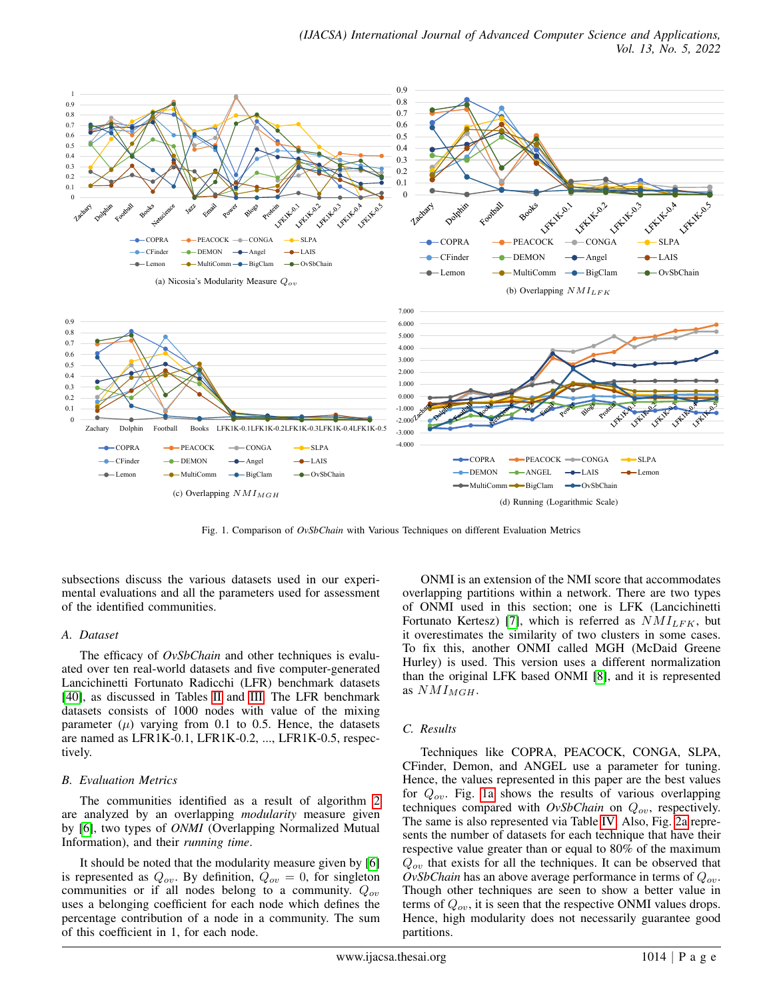<span id="page-4-2"></span><span id="page-4-1"></span><span id="page-4-0"></span>

Fig. 1. Comparison of *OvSbChain* with Various Techniques on different Evaluation Metrics

subsections discuss the various datasets used in our experimental evaluations and all the parameters used for assessment of the identified communities.

#### *A. Dataset*

The efficacy of *OvSbChain* and other techniques is evaluated over ten real-world datasets and five computer-generated Lancichinetti Fortunato Radicchi (LFR) benchmark datasets [\[40\]](#page-9-39), as discussed in Tables [II](#page-3-5) and [III.](#page-3-6) The LFR benchmark datasets consists of 1000 nodes with value of the mixing parameter  $(\mu)$  varying from 0.1 to 0.5. Hence, the datasets are named as LFR1K-0.1, LFR1K-0.2, ..., LFR1K-0.5, respectively.

#### *B. Evaluation Metrics*

The communities identified as a result of algorithm [2](#page-3-1) are analyzed by an overlapping *modularity* measure given by [\[6\]](#page-9-5), two types of *ONMI* (Overlapping Normalized Mutual Information), and their *running time*.

It should be noted that the modularity measure given by [\[6\]](#page-9-5) is represented as  $Q_{ov}$ . By definition,  $Q_{ov} = 0$ , for singleton communities or if all nodes belong to a community.  $Q_{ov}$ uses a belonging coefficient for each node which defines the percentage contribution of a node in a community. The sum of this coefficient in 1, for each node.

<span id="page-4-3"></span>ONMI is an extension of the NMI score that accommodates overlapping partitions within a network. There are two types of ONMI used in this section; one is LFK (Lancichinetti Fortunato Kertesz) [\[7\]](#page-9-6), which is referred as  $NMI_{LFK}$ , but it overestimates the similarity of two clusters in some cases. To fix this, another ONMI called MGH (McDaid Greene Hurley) is used. This version uses a different normalization than the original LFK based ONMI [\[8\]](#page-9-7), and it is represented as  $NMI_{MGH}$ .

#### *C. Results*

Techniques like COPRA, PEACOCK, CONGA, SLPA, CFinder, Demon, and ANGEL use a parameter for tuning. Hence, the values represented in this paper are the best values for  $Q_{ov}$ . Fig. [1a](#page-4-0) shows the results of various overlapping techniques compared with  $OvSbChain$  on  $Q_{ov}$ , respectively. The same is also represented via Table [IV.](#page-7-0) Also, Fig. [2a](#page-5-1) represents the number of datasets for each technique that have their respective value greater than or equal to 80% of the maximum  $Q_{ov}$  that exists for all the techniques. It can be observed that *OvSbChain* has an above average performance in terms of  $Q_{ov}$ . Though other techniques are seen to show a better value in terms of  $Q_{ov}$ , it is seen that the respective ONMI values drops. Hence, high modularity does not necessarily guarantee good partitions.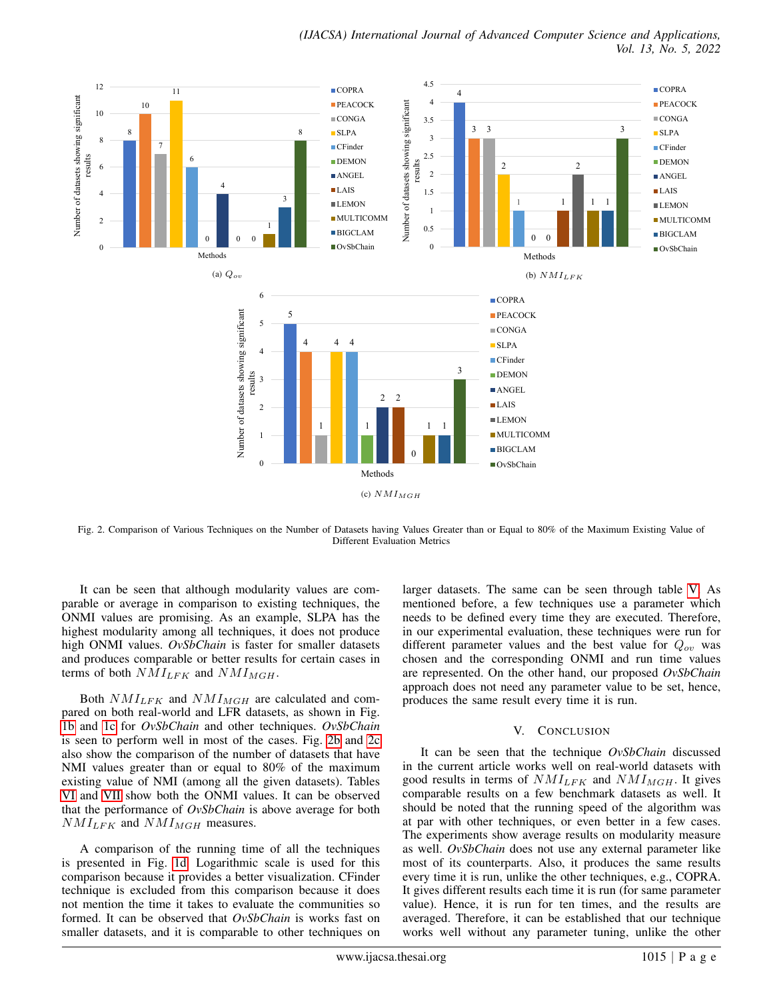<span id="page-5-2"></span><span id="page-5-1"></span>

<span id="page-5-3"></span>Fig. 2. Comparison of Various Techniques on the Number of Datasets having Values Greater than or Equal to 80% of the Maximum Existing Value of Different Evaluation Metrics

It can be seen that although modularity values are comparable or average in comparison to existing techniques, the ONMI values are promising. As an example, SLPA has the highest modularity among all techniques, it does not produce high ONMI values. *OvSbChain* is faster for smaller datasets and produces comparable or better results for certain cases in terms of both  $NMI_{LFK}$  and  $NMI_{MGH}$ .

Both  $NMI_{LFK}$  and  $NMI_{MGH}$  are calculated and compared on both real-world and LFR datasets, as shown in Fig. [1b](#page-4-1) and [1c](#page-4-2) for *OvSbChain* and other techniques. *OvSbChain* is seen to perform well in most of the cases. Fig. [2b](#page-5-2) and [2c](#page-5-3) also show the comparison of the number of datasets that have NMI values greater than or equal to 80% of the maximum existing value of NMI (among all the given datasets). Tables [VI](#page-8-0) and [VII](#page-8-0) show both the ONMI values. It can be observed that the performance of *OvSbChain* is above average for both  $NMI_{LFK}$  and  $NMI_{MGH}$  measures.

A comparison of the running time of all the techniques is presented in Fig. [1d.](#page-4-3) Logarithmic scale is used for this comparison because it provides a better visualization. CFinder technique is excluded from this comparison because it does not mention the time it takes to evaluate the communities so formed. It can be observed that *OvSbChain* is works fast on smaller datasets, and it is comparable to other techniques on larger datasets. The same can be seen through table [V.](#page-7-1) As mentioned before, a few techniques use a parameter which needs to be defined every time they are executed. Therefore, in our experimental evaluation, these techniques were run for different parameter values and the best value for  $Q_{ov}$  was chosen and the corresponding ONMI and run time values are represented. On the other hand, our proposed *OvSbChain* approach does not need any parameter value to be set, hence, produces the same result every time it is run.

#### V. CONCLUSION

<span id="page-5-0"></span>It can be seen that the technique *OvSbChain* discussed in the current article works well on real-world datasets with good results in terms of  $NMI_{LFK}$  and  $NMI_{MGH}$ . It gives comparable results on a few benchmark datasets as well. It should be noted that the running speed of the algorithm was at par with other techniques, or even better in a few cases. The experiments show average results on modularity measure as well. *OvSbChain* does not use any external parameter like most of its counterparts. Also, it produces the same results every time it is run, unlike the other techniques, e.g., COPRA. It gives different results each time it is run (for same parameter value). Hence, it is run for ten times, and the results are averaged. Therefore, it can be established that our technique works well without any parameter tuning, unlike the other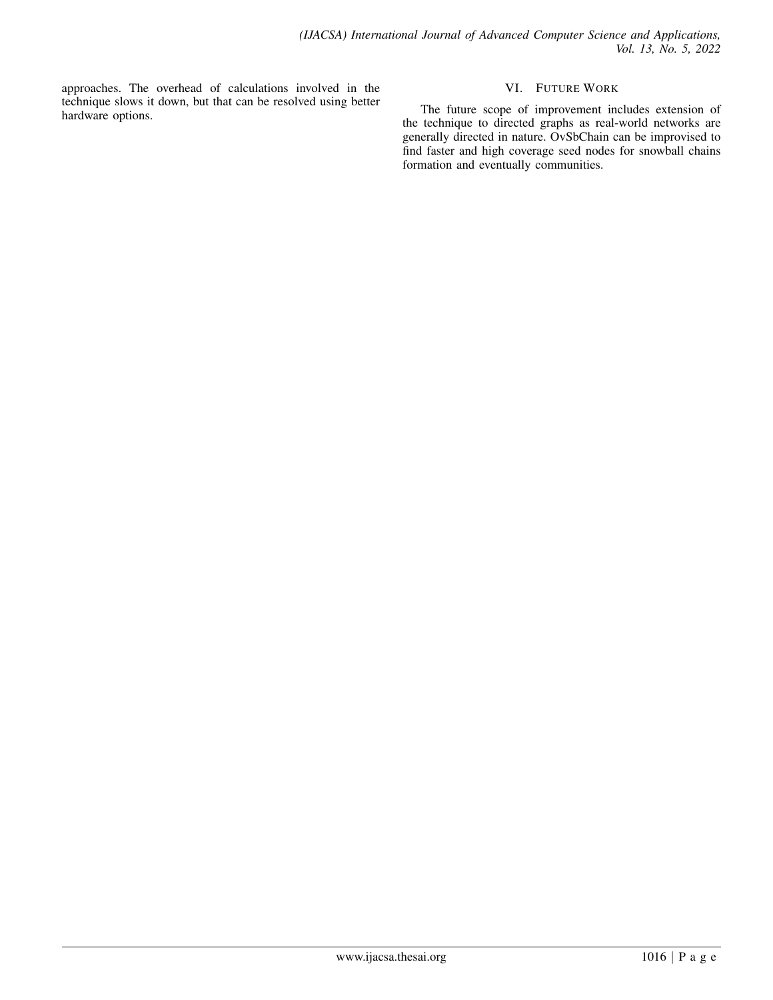approaches. The overhead of calculations involved in the technique slows it down, but that can be resolved using better hardware options.

# VI. FUTURE WORK

<span id="page-6-0"></span>The future scope of improvement includes extension of the technique to directed graphs as real-world networks are generally directed in nature. OvSbChain can be improvised to find faster and high coverage seed nodes for snowball chains formation and eventually communities.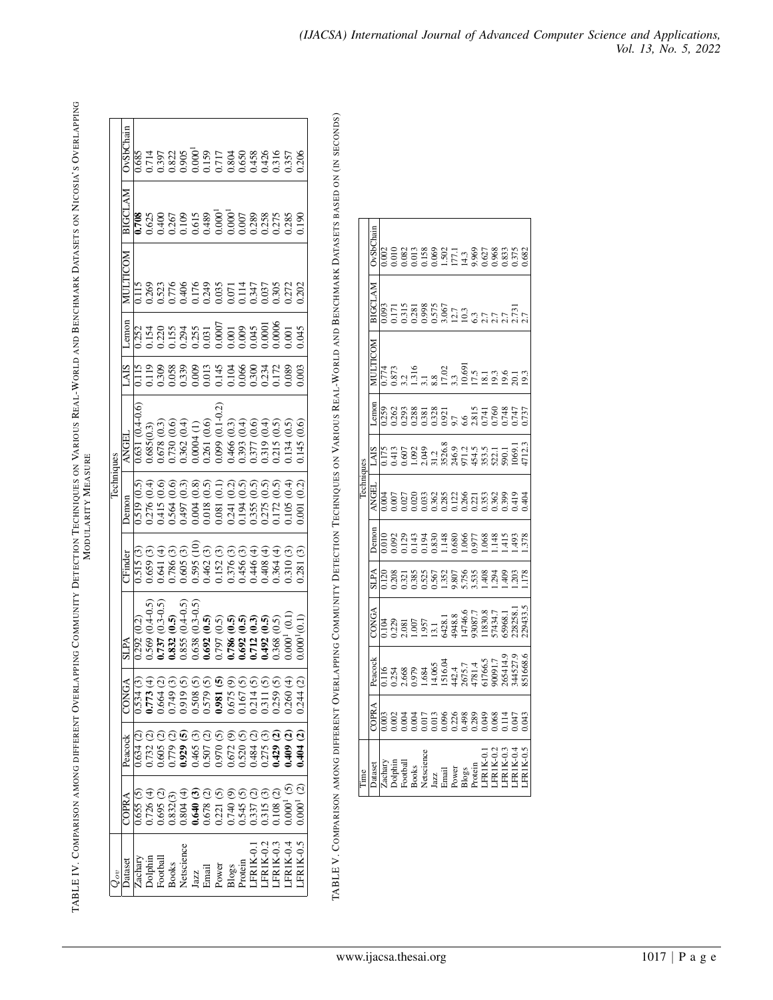<span id="page-7-1"></span><span id="page-7-0"></span>

| J<br>:<br>;<br>;<br>ļ<br>ï<br>l<br>The DI E IV Castro in the Algorithment of the District Library of the United States of the United States of the<br>֘֒<br>$\frac{1}{2}$<br>ļ<br>j<br>-<br>-<br>-<br>-<br>-<br>-<br>- |  |
|------------------------------------------------------------------------------------------------------------------------------------------------------------------------------------------------------------------------|--|
|------------------------------------------------------------------------------------------------------------------------------------------------------------------------------------------------------------------------|--|

|            | <b>OvSbChain</b> |                |                        |               |            |                                                                |                        |                              |                                                                                                                                                                                                                                                                                                                                                                                                                                                              |                                           |                |                                                    |       |                      |                    | 206                                |
|------------|------------------|----------------|------------------------|---------------|------------|----------------------------------------------------------------|------------------------|------------------------------|--------------------------------------------------------------------------------------------------------------------------------------------------------------------------------------------------------------------------------------------------------------------------------------------------------------------------------------------------------------------------------------------------------------------------------------------------------------|-------------------------------------------|----------------|----------------------------------------------------|-------|----------------------|--------------------|------------------------------------|
|            | BIGCI AM         |                |                        |               |            |                                                                |                        |                              |                                                                                                                                                                                                                                                                                                                                                                                                                                                              |                                           |                |                                                    |       |                      |                    | 190                                |
|            |                  |                |                        |               |            |                                                                |                        |                              |                                                                                                                                                                                                                                                                                                                                                                                                                                                              |                                           |                |                                                    |       |                      | 0.272              | 0.202                              |
|            | emon             |                |                        |               |            | 252<br>2225<br>2225<br>2225<br>2225                            |                        |                              | $\begin{array}{c} 0.0007 \\ 0.001 \\ 0.009 \\ 0.009 \\ 0.0001 \\ 0.0001 \\ 0.0000 \end{array}$                                                                                                                                                                                                                                                                                                                                                               |                                           |                |                                                    |       |                      | 00(                | 0.045                              |
|            |                  |                |                        |               |            | 1119<br>0.308<br>0.339<br>0.009                                |                        |                              | 0.013<br>0.145<br>0.1046<br>0.300<br>0.172                                                                                                                                                                                                                                                                                                                                                                                                                   |                                           |                |                                                    |       |                      | 0.085              | 00.001                             |
|            | ANGEL            | 0.631 (0.4-0.6 | 0.685(0.3)             | 1.678 (0.3)   | 1730       | $\overline{0.4}$<br>0.362                                      | 0.0004(1)              | 0.261(0.6)                   | $0.099(0.1-0.2)$                                                                                                                                                                                                                                                                                                                                                                                                                                             | (0.3)<br>0.466(                           | 0.393          | <del>(</del> )<br>୧.୧.୧.୧<br>୧.୧.୧<br>1377<br>1319 |       | 0.215                | 0.134              | $\widetilde{\mathrm{C}}$<br>0.145( |
| Techniques | Jemon            | 0.519(0.5)     |                        | 0.415         | 0.564      | $\frac{3}{2}$<br>1,497                                         | $\frac{8}{0}$<br>0.004 | (0.5)<br>1.018               | $\left($ 0.1<br>1.081                                                                                                                                                                                                                                                                                                                                                                                                                                        | (0.2)<br>0.241<br>0.194<br>0.355<br>0.172 | (0.5)          | (0.5)                                              | (0.5) | $\overline{0.5}$     | $\vec{a}$<br>1.105 | $\widetilde{0.2}$                  |
|            | <b>CFinder</b>   | 0.515(3)       | 0.659                  | .641          | 1.786      | 0.605(3)                                                       | 0.595                  | 0.462(3)                     | .152(3)                                                                                                                                                                                                                                                                                                                                                                                                                                                      | 0.376 (3)                                 | 0.456 (3)      | 0.446 (4                                           | 0.408 | .364(4)              | 1.310              | .281(3)                            |
|            | <b>SLPA</b>      | 0.292(0.2)     | $(0.4 - 0.5)$<br>1,569 | $(0.3 - 0.5)$ | $\ddot{6}$ | $(0.4 - 0.5)$<br>0.832 (<br>0.855 (<br>0.638 (<br>0.692 (      | $(0.3 - 0.5)$          | $\widetilde{(\mathbf{g}.6)}$ | 1.797                                                                                                                                                                                                                                                                                                                                                                                                                                                        | ନ୍ଦ୍ଦି<br>ଚିତିତି<br>0.786                 | 1.692<br>0.712 |                                                    | 1.492 | <u>ରିଚ୍</u><br>0.368 | $0.000^{1}$        |                                    |
|            | CONGA            |                |                        |               |            |                                                                |                        |                              |                                                                                                                                                                                                                                                                                                                                                                                                                                                              |                                           |                |                                                    |       |                      | 0.260(4)           | 0.244(2)                           |
|            | Peacock          | 0.634(2)       |                        |               |            |                                                                |                        |                              |                                                                                                                                                                                                                                                                                                                                                                                                                                                              |                                           |                |                                                    |       |                      |                    |                                    |
|            | COPRA            | 0.655(5)       |                        |               |            |                                                                |                        |                              | $\begin{array}{l} \mathfrak{t}(\mathbb{C}) \oplus \mathbb{C} \oplus \mathbb{C} \oplus \mathbb{C} \oplus \mathbb{C} \oplus \mathbb{C} \oplus \mathbb{C} \oplus \mathbb{C} \oplus \mathbb{C} \oplus \mathbb{C} \oplus \mathbb{C} \oplus \mathbb{C} \oplus \mathbb{C} \oplus \mathbb{C} \oplus \mathbb{C} \oplus \mathbb{C} \oplus \mathbb{C} \oplus \mathbb{C} \oplus \mathbb{C} \oplus \mathbb{C} \oplus \mathbb{C} \oplus \mathbb{C} \oplus \mathbb{C} \opl$ |                                           |                |                                                    |       |                      |                    |                                    |
|            | Dataset          |                |                        |               |            | Zachary<br>Dolphin<br>Football<br>Books<br>Books<br>Netscience |                        |                              | Jazz<br>Email<br>Email<br>Power<br>Power<br>Blogs<br>Protein<br>LFRIK-0.2<br>LFRIK-0.2                                                                                                                                                                                                                                                                                                                                                                       |                                           |                |                                                    |       |                      | $-FRIK-0.4$        | LFR1K-0.5                          |

TABLE V. COMPARISON AMONG DIFFERENT OVERLAPPING COMMUNITY DETECTION TECHNIQUES ON VARIOUS REAL-WORLD AND BENCHMARK DATASETS BASED ON (IN SECONDS)

|                                                                      |                  |                                                                                                   |                                                                                                                                         |                         |                            | Techniques                  |                                                                                                                                                                                                                                                                                     |                                                     |                     |                                                                    |                                          |
|----------------------------------------------------------------------|------------------|---------------------------------------------------------------------------------------------------|-----------------------------------------------------------------------------------------------------------------------------------------|-------------------------|----------------------------|-----------------------------|-------------------------------------------------------------------------------------------------------------------------------------------------------------------------------------------------------------------------------------------------------------------------------------|-----------------------------------------------------|---------------------|--------------------------------------------------------------------|------------------------------------------|
| <b>hatase</b>                                                        | <b>NAdo:</b>     | Peacock                                                                                           | <b>CONGA</b>                                                                                                                            | <b>SLPA</b>             | Jemon                      | NGEI                        | <b>AIS</b>                                                                                                                                                                                                                                                                          | <b>Amon</b>                                         |                     | MATDDIE                                                            | OvSb                                     |
|                                                                      | $\overline{003}$ | $\frac{116}{11}$                                                                                  |                                                                                                                                         | 120                     | 010,                       | 004                         |                                                                                                                                                                                                                                                                                     | 0.259                                               | .774                | .093                                                               | 002                                      |
|                                                                      | .002             |                                                                                                   |                                                                                                                                         | .208                    | .092                       | $\overline{0}$              |                                                                                                                                                                                                                                                                                     | .262                                                |                     |                                                                    |                                          |
|                                                                      | POO'             |                                                                                                   |                                                                                                                                         |                         |                            | .027                        |                                                                                                                                                                                                                                                                                     |                                                     |                     |                                                                    |                                          |
|                                                                      |                  |                                                                                                   |                                                                                                                                         |                         |                            | 0.020                       |                                                                                                                                                                                                                                                                                     |                                                     |                     |                                                                    |                                          |
| Zachary<br>Dolphin<br>Football<br>Books<br>Netscience                | $\overline{0}17$ | 0.254<br>2.668<br>0.979 4.065<br>1.14065<br>1.1706,577<br>1.1706,5713<br>1.14527.13<br>1.14527.13 | 0.104<br>0.229<br>0.239<br>0.007<br>0.007<br>0.007,7<br>0.007,7<br>0.008,17<br>0.008,17<br>0.008,17<br>0.008,17<br>0.008,17<br>0.008,17 | 0.321<br>0.385<br>0.567 | 123<br>143<br>1538<br>1838 | 033                         | $1.173$<br>$1.413$<br>$1.605$<br>$1.413$<br>$1.605$<br>$1.43$<br>$1.43$<br>$1.43$<br>$1.43$<br>$1.43$<br>$1.43$<br>$1.43$<br>$1.43$<br>$1.43$<br>$1.43$<br>$1.43$<br>$1.43$<br>$1.43$<br>$1.43$<br>$1.43$<br>$1.43$<br>$1.43$<br>$1.43$<br>$1.43$<br>$1.43$<br>$1.43$<br>$1.43$<br> | 0.293<br>0.288<br>0.381                             |                     | 11158865<br>0.31886575667<br>0.3188657667575751<br>0.3286567675751 | 0101082<br>0.082<br>0.158<br>0.069       |
|                                                                      | $\overline{0}$   |                                                                                                   |                                                                                                                                         |                         |                            | 0.362                       |                                                                                                                                                                                                                                                                                     |                                                     |                     |                                                                    |                                          |
|                                                                      |                  |                                                                                                   |                                                                                                                                         | 1.352<br>9.807          | $1.148$<br>0.680           |                             |                                                                                                                                                                                                                                                                                     |                                                     |                     |                                                                    |                                          |
|                                                                      |                  |                                                                                                   |                                                                                                                                         |                         |                            |                             |                                                                                                                                                                                                                                                                                     |                                                     |                     |                                                                    |                                          |
| Jazz<br>Email<br>Power<br>Power<br>Electin<br>CFRIK-0.1<br>LFRIK-0.2 |                  |                                                                                                   |                                                                                                                                         | 5.756<br>3.535<br>1.408 | .066                       | 282<br>2022<br>2023<br>2023 |                                                                                                                                                                                                                                                                                     | 0.328<br>0.921<br>0.7415<br>0.743<br>0.747<br>0.747 |                     |                                                                    | 1.502<br>177.1<br>14.3<br>9.627<br>9.883 |
|                                                                      |                  |                                                                                                   |                                                                                                                                         |                         | 1.977                      |                             |                                                                                                                                                                                                                                                                                     |                                                     |                     |                                                                    |                                          |
|                                                                      |                  |                                                                                                   |                                                                                                                                         |                         | .068                       |                             |                                                                                                                                                                                                                                                                                     |                                                     |                     |                                                                    |                                          |
|                                                                      | 0.068            |                                                                                                   |                                                                                                                                         | .294                    | $\frac{48}{14}$            |                             |                                                                                                                                                                                                                                                                                     |                                                     |                     |                                                                    |                                          |
| <b>FRIK-0.3</b>                                                      | 114              |                                                                                                   |                                                                                                                                         | $rac{40}{5}$            | $\frac{415}{3}$            | .399                        |                                                                                                                                                                                                                                                                                     |                                                     |                     |                                                                    |                                          |
| FR1K-0.4                                                             | (14)             |                                                                                                   | 228258.1<br>29433.5                                                                                                                     | 203                     | 493                        | 1419                        |                                                                                                                                                                                                                                                                                     |                                                     | $\frac{20.1}{19.3}$ |                                                                    | 0.375<br>0.682                           |
|                                                                      | 043              |                                                                                                   |                                                                                                                                         |                         | 378                        | 404                         | 1712.                                                                                                                                                                                                                                                                               | 737                                                 |                     |                                                                    |                                          |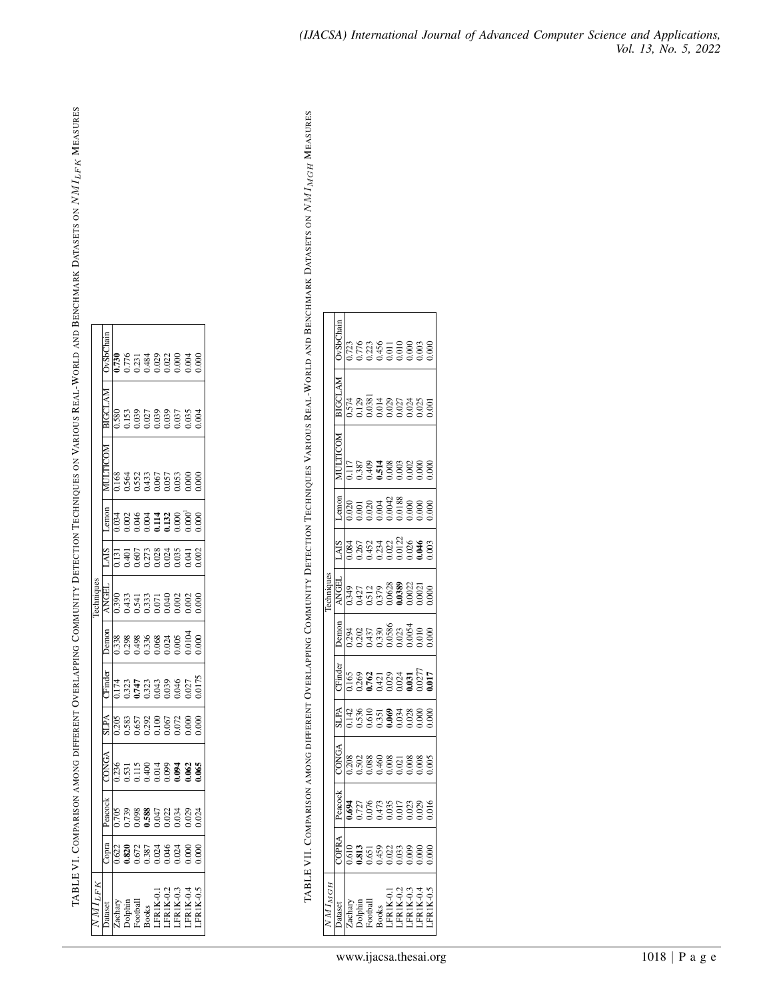<span id="page-8-0"></span>TABLE VI. COMPARISON AMONG DIFFERENT OVERLAPPING COMMUNITY DETECTION TECHNIQUES ON VARIOUS REAL-WORLD AND BENCHMARK DATASETS ON  $NML_{LFK}$  MEASURES TABLE VI. COMPARISON AMONG DIFFERENT OVERLAPPING COMMUNITY DETECTION TECHNIQUES ON VARIOUS REAL-WORLD AND BENCHMARK DATASETS ON NMILFK MEASURES

| $\frac{174}{17373}$<br>039<br>046<br>0.205<br>0.587<br>0.000<br>0.000<br>0.000 |
|--------------------------------------------------------------------------------|
| 0.000<br>0.068<br>0.024<br>0.065<br>1.336<br>$.027$<br>$0175$<br>$000$ .       |
| .065                                                                           |
|                                                                                |
| $\frac{22}{1620}$<br>$0.872$<br>$0.873$<br>$0.024$<br>$0.024$                  |

TABLE VII. COMPARISON AMONG DIFFERENT OVERLAPPING COMMUNITY DETECTION TECHNIQUES VARIOUS REAL-WORLD AND BENCHMARK DATASETS ON N/MIMGH MEASURES TABLE VII. COMPARISON AMONG DIFFERENT OVERLAPPING COMMUNITY DETECTION TECHNIQUES VARIOUS REAL-WORLD AND BENCHMARK DATASETS ON NMIMGH MEASURES

| $M1_M$ GH                                                                                     |                           |                          |                 |                  |                  |                   | echniques |                    |               |                  |                          |       |
|-----------------------------------------------------------------------------------------------|---------------------------|--------------------------|-----------------|------------------|------------------|-------------------|-----------|--------------------|---------------|------------------|--------------------------|-------|
| <b>atase</b>                                                                                  | <b>OPRA</b>               | $e$ acoc $\frac{1}{2}$   | ONG.            | <b>SLPA</b>      | Finder           | <b>Demot</b>      | NGE       | <b>AIS</b>         | -emor         | THTP-CP-         |                          |       |
|                                                                                               | 610                       |                          | .208            | $\frac{142}{55}$ |                  |                   |           |                    |               |                  |                          | 0.723 |
| Zachary<br>Dolphin<br>Dolphin<br>Football<br>HORIK-0.2<br>LERIK-0.4<br>LERIK-0.4<br>LERIK-0.4 | $\frac{813}{2}$           | 727                      | 0.502           |                  |                  | 202               | 427       | 1,267              | ē             | .387             | 1.574<br>1.129<br>1.0381 |       |
|                                                                                               | .651                      | $\tilde{\epsilon}$       | 1.088           | 610              | 762              | 1437              | .512      | 0.452              | 020           | 0.409<br>1.514   |                          |       |
|                                                                                               | <b>1459</b>               | 1473                     | 1,460           | .351             | 421              | 330               | 1.379     | 234                | 004           |                  | 1488524                  |       |
|                                                                                               | $\widetilde{\mathrm{S}}$  | 035                      | 0.008           | $\mathcal{S}$    | 029              | .0586             | .0628     | 0.022              | 0042          | $\approx$        |                          |       |
|                                                                                               | .033                      | $\overline{0}$           | 0.021           | $034$<br>$028$   | 024              | $.023$<br>$.0054$ | 0389      | $.0122$<br>$0.026$ | 0.188         | .003             |                          |       |
|                                                                                               | $\frac{60}{3}$            | $\widetilde{\mathbb{S}}$ |                 |                  | 631              |                   | ,0022     |                    | $\frac{8}{2}$ | .002             |                          |       |
|                                                                                               | $\approx$                 |                          | 008             | 000              | .027             | 010               | .002      | ð.                 |               | $\infty$         | 0.025                    |       |
|                                                                                               | $\widetilde{\mathrm{SO}}$ |                          | 00 <sup>2</sup> | g                | $\overline{017}$ | 8                 | $\approx$ | $\tilde{6}$        |               | 000 <sup>1</sup> |                          |       |